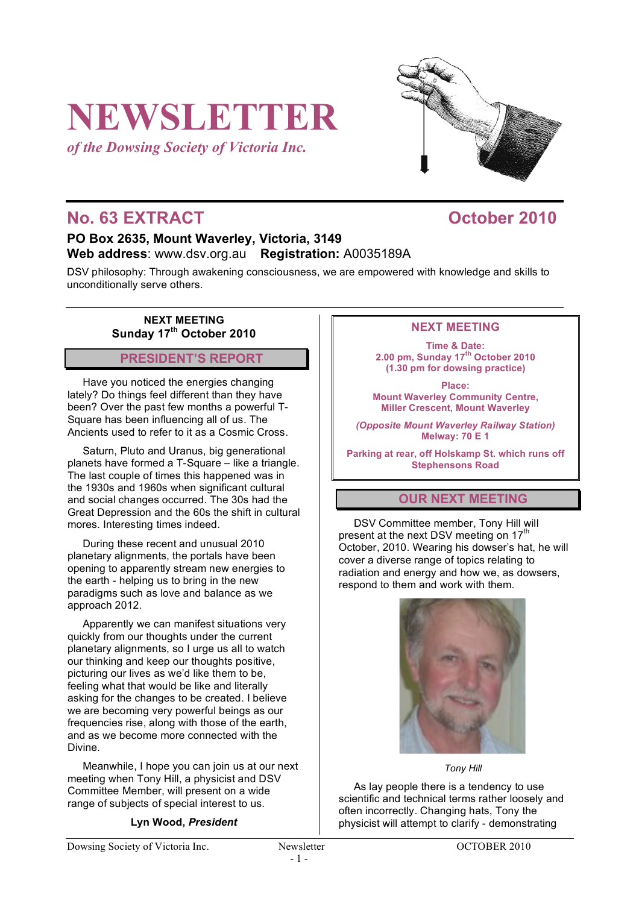# **NEWSLETTER**

*of the Dowsing Society of Victoria Inc.*



# **No. 63 EXTRACT October 2010**

## **PO Box 2635, Mount Waverley, Victoria, 3149 Web address**: www.dsv.org.au **Registration:** A0035189A

DSV philosophy: Through awakening consciousness, we are empowered with knowledge and skills to unconditionally serve others.

**NEXT MEETING Sunday 17th October 2010**

# **PRESIDENT'S REPORT**

Have you noticed the energies changing lately? Do things feel different than they have been? Over the past few months a powerful T-Square has been influencing all of us. The Ancients used to refer to it as a Cosmic Cross.

Saturn, Pluto and Uranus, big generational planets have formed a T-Square – like a triangle. The last couple of times this happened was in the 1930s and 1960s when significant cultural and social changes occurred. The 30s had the Great Depression and the 60s the shift in cultural mores. Interesting times indeed.

During these recent and unusual 2010 planetary alignments, the portals have been opening to apparently stream new energies to the earth - helping us to bring in the new paradigms such as love and balance as we approach 2012.

Apparently we can manifest situations very quickly from our thoughts under the current planetary alignments, so I urge us all to watch our thinking and keep our thoughts positive, picturing our lives as we'd like them to be, feeling what that would be like and literally asking for the changes to be created. I believe we are becoming very powerful beings as our frequencies rise, along with those of the earth, and as we become more connected with the Divine.

Meanwhile, I hope you can join us at our next meeting when Tony Hill, a physicist and DSV Committee Member, will present on a wide range of subjects of special interest to us.

#### **Lyn Wood,** *President*

#### **NEXT MEETING**

**Time & Date: 2.00 pm, Sunday 17th October 2010 (1.30 pm for dowsing practice)**

**Place: Mount Waverley Community Centre, Miller Crescent, Mount Waverley**

*(Opposite Mount Waverley Railway Station)* **Melway: 70 E 1**

**Parking at rear, off Holskamp St. which runs off Stephensons Road**

#### **OUR NEXT MEETING**

DSV Committee member, Tony Hill will present at the next DSV meeting on 17<sup>th</sup> October, 2010. Wearing his dowser's hat, he will cover a diverse range of topics relating to radiation and energy and how we, as dowsers, respond to them and work with them.



*Tony Hill*

As lay people there is a tendency to use scientific and technical terms rather loosely and often incorrectly. Changing hats, Tony the physicist will attempt to clarify - demonstrating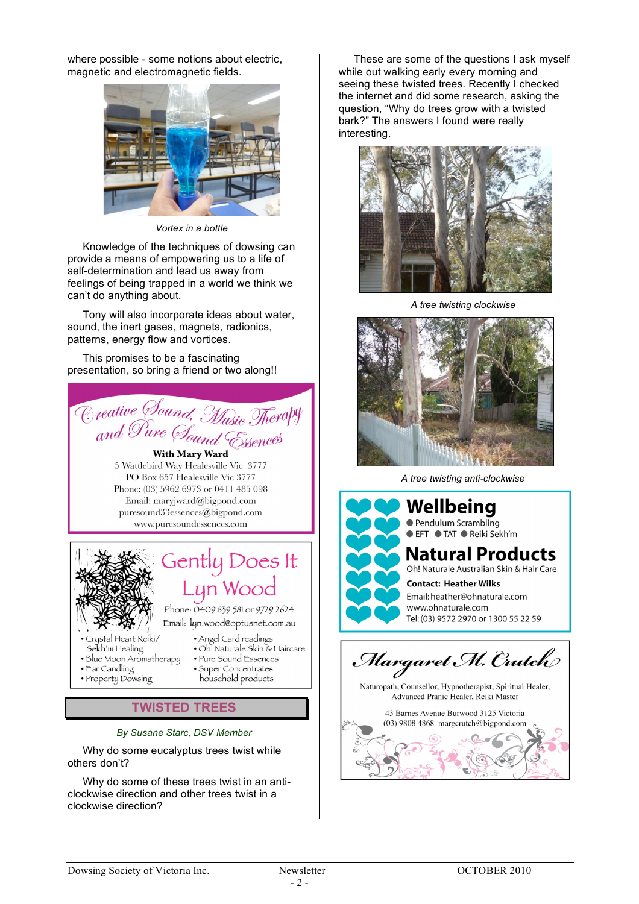where possible - some notions about electric, magnetic and electromagnetic fields.



*Vortex in a bottle*

Knowledge of the techniques of dowsing can provide a means of empowering us to a life of self-determination and lead us away from feelings of being trapped in a world we think we can't do anything about.

Tony will also incorporate ideas about water, sound, the inert gases, magnets, radionics, patterns, energy flow and vortices.

This promises to be a fascinating presentation, so bring a friend or two along!!



**TWISTED TREES**

*By Susane Starc, DSV Member*

Why do some eucalyptus trees twist while others don't?

Why do some of these trees twist in an anticlockwise direction and other trees twist in a clockwise direction?

These are some of the questions I ask myself while out walking early every morning and seeing these twisted trees. Recently I checked the internet and did some research, asking the question, "Why do trees grow with a twisted bark?" The answers I found were really interesting.



*A tree twisting clockwise*



*A tree twisting anti-clockwise*



Naturopath, Counsellor, Hypnotherapist, Spiritual Healer, Advanced Pranic Healer, Reiki Master

43 Barnes Avenue Burwood 3125 Victoria (03) 9808 4868 margcrutch@bigpond.com